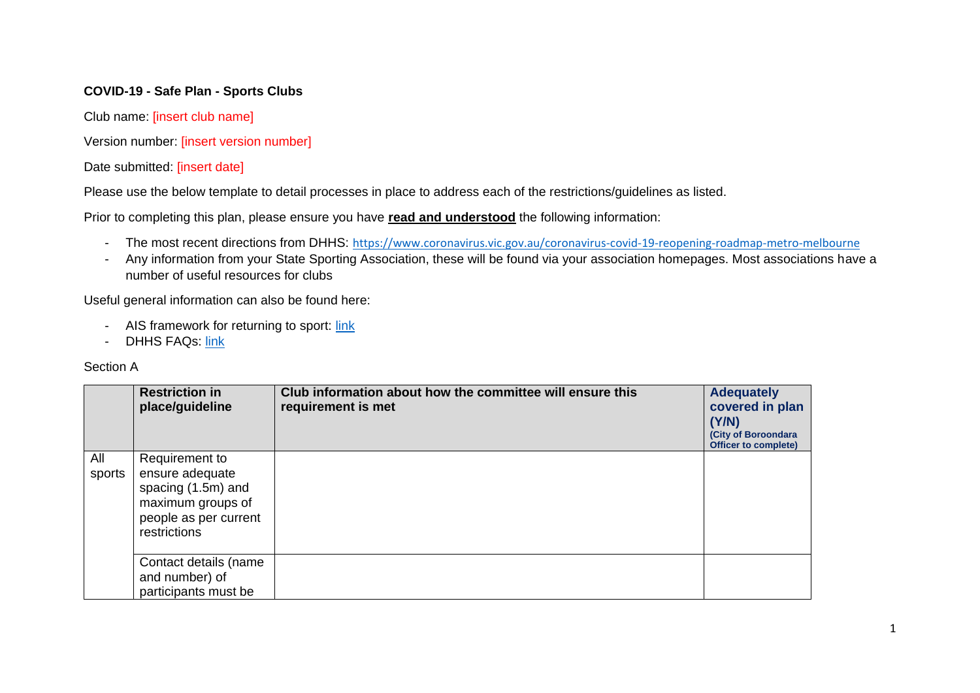## **COVID-19 - Safe Plan - Sports Clubs**

Club name: [insert club name]

Version number: *[insert version number]* 

Date submitted: [insert date]

Please use the below template to detail processes in place to address each of the restrictions/guidelines as listed.

Prior to completing this plan, please ensure you have **read and understood** the following information:

- The most recent directions from DHHS: <https://www.coronavirus.vic.gov.au/coronavirus-covid-19-reopening-roadmap-metro-melbourne>
- Any information from your State Sporting Association, these will be found via your association homepages. Most associations have a number of useful resources for clubs

Useful general information can also be found here:

- AIS framework for returning to sport: [link](https://ais.gov.au/__data/assets/pdf_file/0008/730376/35845_AIS-Framework-for-rebooting-sport_FA.pdf)
- DHHS FAQs: [link](https://www.dhhs.vic.gov.au/sport-cultural-and-recreational-activities-restrictions-coronavirus-covid19)

## Section A

|               | <b>Restriction in</b><br>place/guideline                                                                              | Club information about how the committee will ensure this<br>requirement is met | <b>Adequately</b><br>covered in plan<br>(Y/N)<br>(City of Boroondara<br>Officer to complete) |
|---------------|-----------------------------------------------------------------------------------------------------------------------|---------------------------------------------------------------------------------|----------------------------------------------------------------------------------------------|
| All<br>sports | Requirement to<br>ensure adequate<br>spacing (1.5m) and<br>maximum groups of<br>people as per current<br>restrictions |                                                                                 |                                                                                              |
|               | Contact details (name<br>and number) of<br>participants must be                                                       |                                                                                 |                                                                                              |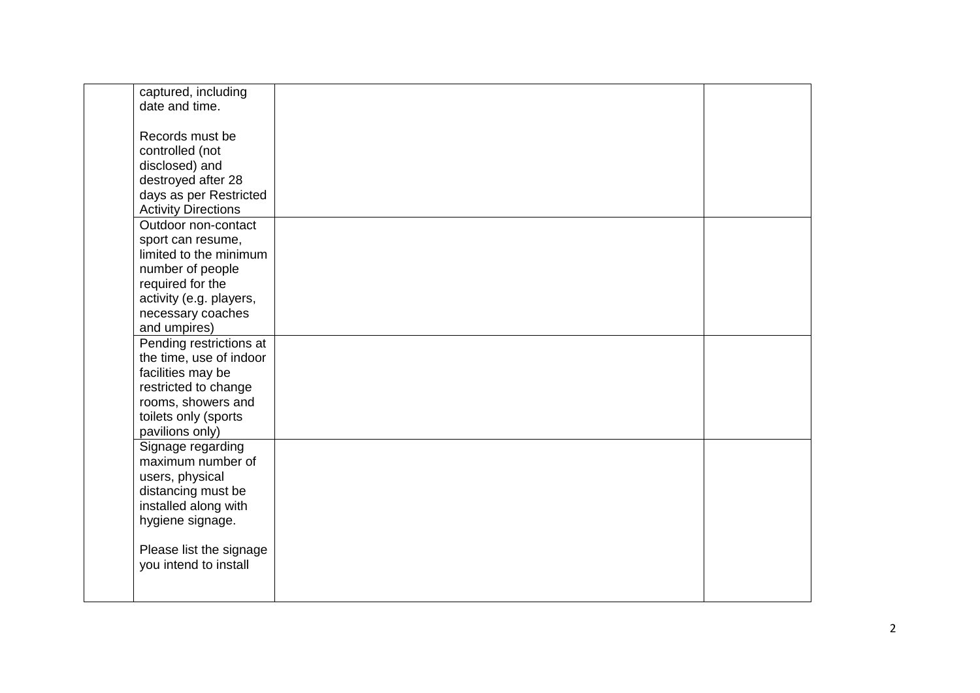| captured, including        |  |
|----------------------------|--|
| date and time.             |  |
|                            |  |
| Records must be            |  |
| controlled (not            |  |
| disclosed) and             |  |
| destroyed after 28         |  |
| days as per Restricted     |  |
| <b>Activity Directions</b> |  |
| Outdoor non-contact        |  |
|                            |  |
| sport can resume,          |  |
| limited to the minimum     |  |
| number of people           |  |
| required for the           |  |
| activity (e.g. players,    |  |
| necessary coaches          |  |
| and umpires)               |  |
| Pending restrictions at    |  |
| the time, use of indoor    |  |
| facilities may be          |  |
| restricted to change       |  |
| rooms, showers and         |  |
| toilets only (sports       |  |
| pavilions only)            |  |
| Signage regarding          |  |
|                            |  |
| maximum number of          |  |
| users, physical            |  |
| distancing must be         |  |
| installed along with       |  |
| hygiene signage.           |  |
|                            |  |
| Please list the signage    |  |
| you intend to install      |  |
|                            |  |
|                            |  |
|                            |  |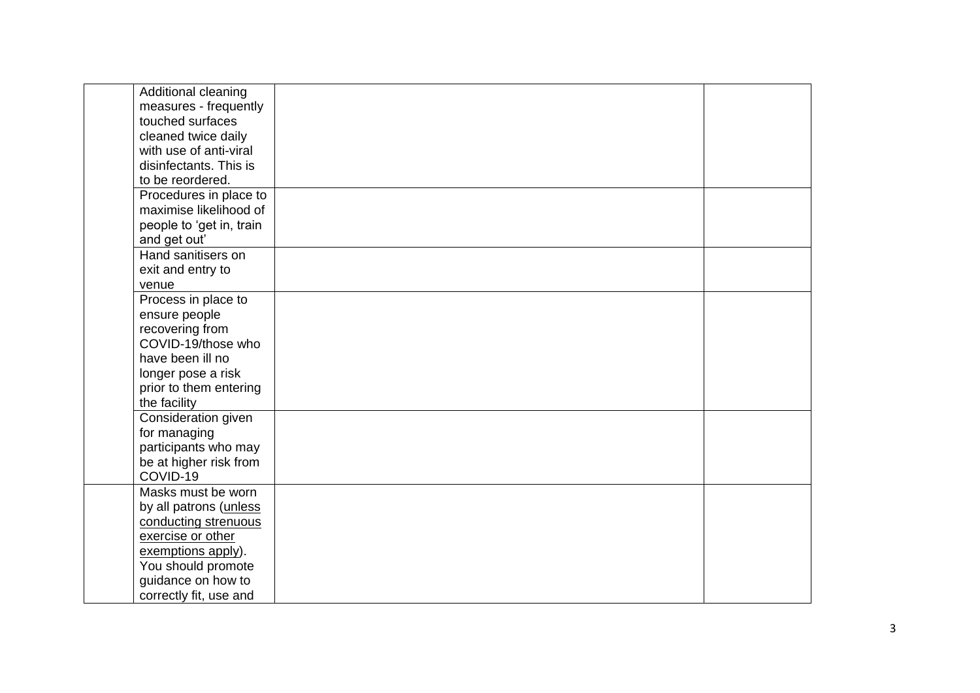| Additional cleaning      |  |
|--------------------------|--|
| measures - frequently    |  |
| touched surfaces         |  |
| cleaned twice daily      |  |
| with use of anti-viral   |  |
| disinfectants. This is   |  |
| to be reordered.         |  |
| Procedures in place to   |  |
| maximise likelihood of   |  |
| people to 'get in, train |  |
| and get out'             |  |
| Hand sanitisers on       |  |
| exit and entry to        |  |
| venue                    |  |
| Process in place to      |  |
| ensure people            |  |
| recovering from          |  |
| COVID-19/those who       |  |
| have been ill no         |  |
| longer pose a risk       |  |
| prior to them entering   |  |
| the facility             |  |
| Consideration given      |  |
| for managing             |  |
| participants who may     |  |
| be at higher risk from   |  |
| COVID-19                 |  |
| Masks must be worn       |  |
| by all patrons (unless   |  |
| conducting strenuous     |  |
| exercise or other        |  |
| exemptions apply).       |  |
| You should promote       |  |
| guidance on how to       |  |
| correctly fit, use and   |  |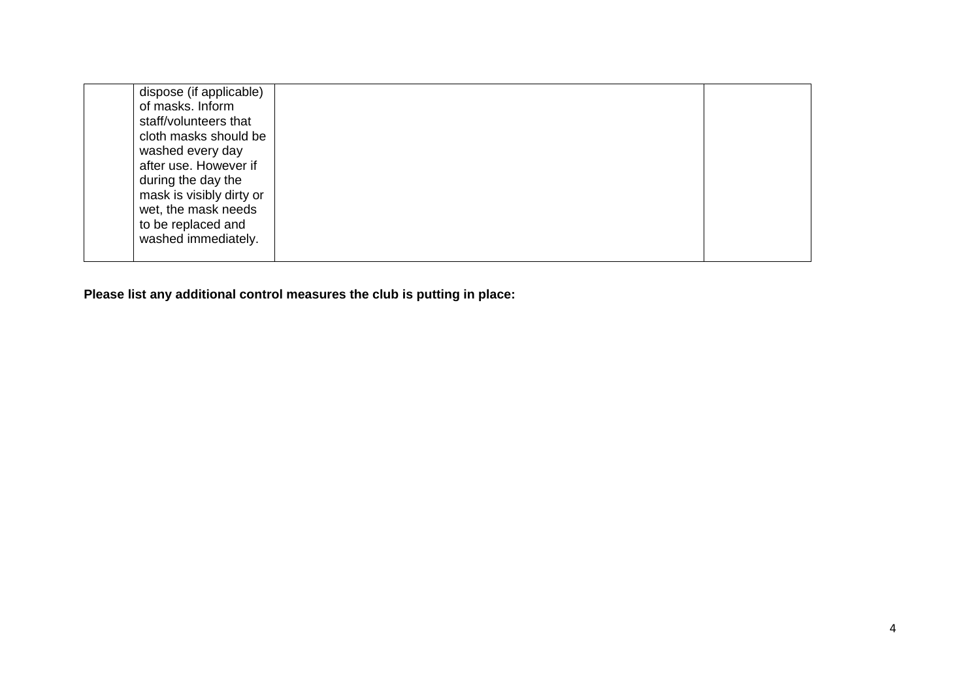| to be replaced and<br>washed immediately. |  | dispose (if applicable)<br>of masks. Inform<br>staff/volunteers that<br>cloth masks should be<br>washed every day<br>after use. However if<br>during the day the<br>mask is visibly dirty or<br>wet, the mask needs |  |  |
|-------------------------------------------|--|---------------------------------------------------------------------------------------------------------------------------------------------------------------------------------------------------------------------|--|--|
|-------------------------------------------|--|---------------------------------------------------------------------------------------------------------------------------------------------------------------------------------------------------------------------|--|--|

**Please list any additional control measures the club is putting in place:**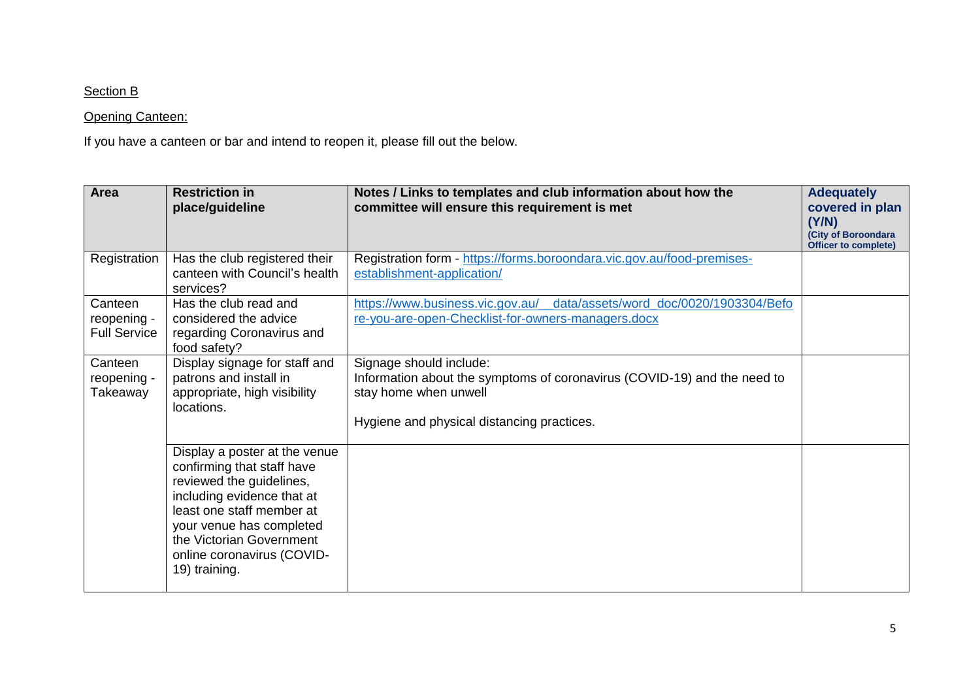## Section B

## **Opening Canteen:**

If you have a canteen or bar and intend to reopen it, please fill out the below.

| Area                                          | <b>Restriction in</b><br>place/guideline                                                                                                                                                                                                                  | Notes / Links to templates and club information about how the<br>committee will ensure this requirement is met                                                             | <b>Adequately</b><br>covered in plan<br>(Y/N)<br>(City of Boroondara<br><b>Officer to complete)</b> |
|-----------------------------------------------|-----------------------------------------------------------------------------------------------------------------------------------------------------------------------------------------------------------------------------------------------------------|----------------------------------------------------------------------------------------------------------------------------------------------------------------------------|-----------------------------------------------------------------------------------------------------|
| Registration                                  | Has the club registered their<br>canteen with Council's health<br>services?                                                                                                                                                                               | Registration form - https://forms.boroondara.vic.gov.au/food-premises-<br>establishment-application/                                                                       |                                                                                                     |
| Canteen<br>reopening -<br><b>Full Service</b> | Has the club read and<br>considered the advice<br>regarding Coronavirus and<br>food safety?                                                                                                                                                               | data/assets/word_doc/0020/1903304/Befo<br>https://www.business.vic.gov.au/<br>re-you-are-open-Checklist-for-owners-managers.docx                                           |                                                                                                     |
| Canteen<br>reopening -<br>Takeaway            | Display signage for staff and<br>patrons and install in<br>appropriate, high visibility<br>locations.                                                                                                                                                     | Signage should include:<br>Information about the symptoms of coronavirus (COVID-19) and the need to<br>stay home when unwell<br>Hygiene and physical distancing practices. |                                                                                                     |
|                                               | Display a poster at the venue<br>confirming that staff have<br>reviewed the guidelines,<br>including evidence that at<br>least one staff member at<br>your venue has completed<br>the Victorian Government<br>online coronavirus (COVID-<br>19) training. |                                                                                                                                                                            |                                                                                                     |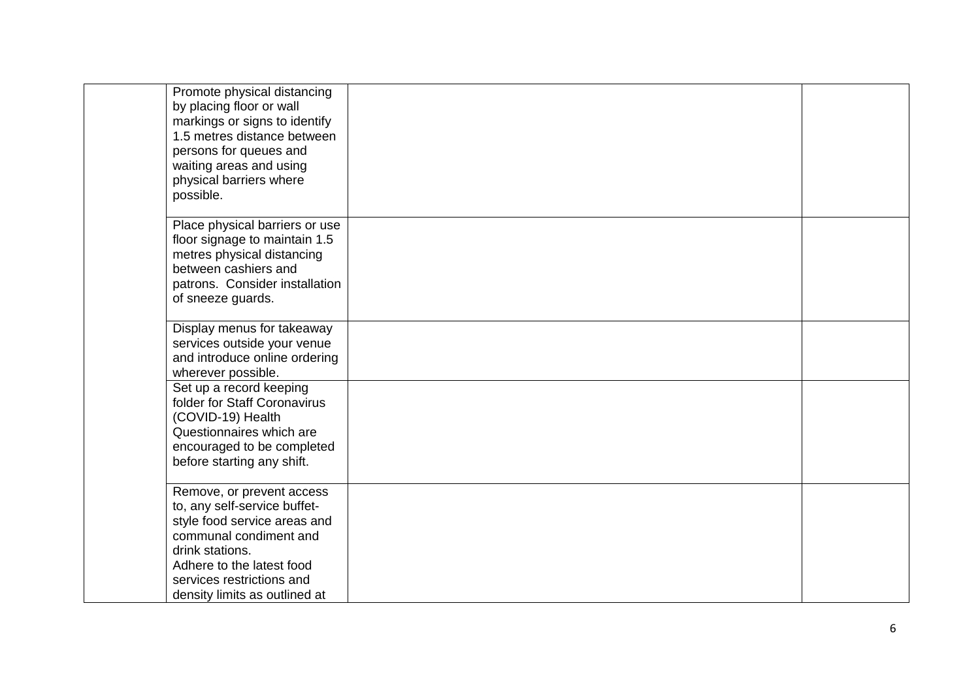| Promote physical distancing<br>by placing floor or wall<br>markings or signs to identify<br>1.5 metres distance between<br>persons for queues and<br>waiting areas and using<br>physical barriers where<br>possible.              |  |
|-----------------------------------------------------------------------------------------------------------------------------------------------------------------------------------------------------------------------------------|--|
| Place physical barriers or use<br>floor signage to maintain 1.5<br>metres physical distancing<br>between cashiers and<br>patrons. Consider installation<br>of sneeze guards.                                                      |  |
| Display menus for takeaway<br>services outside your venue<br>and introduce online ordering<br>wherever possible.                                                                                                                  |  |
| Set up a record keeping<br>folder for Staff Coronavirus<br>(COVID-19) Health<br>Questionnaires which are<br>encouraged to be completed<br>before starting any shift.                                                              |  |
| Remove, or prevent access<br>to, any self-service buffet-<br>style food service areas and<br>communal condiment and<br>drink stations.<br>Adhere to the latest food<br>services restrictions and<br>density limits as outlined at |  |